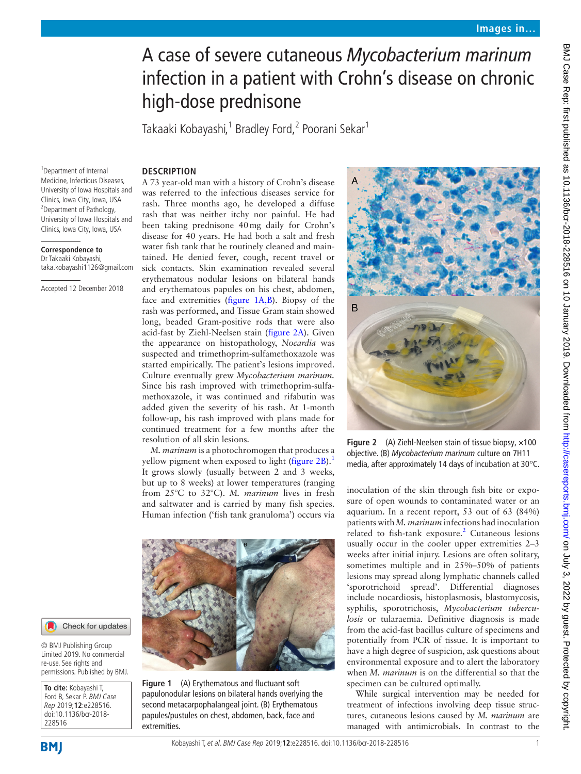# A case of severe cutaneous *Mycobacterium marinum* infection in a patient with Crohn's disease on chronic high-dose prednisone

Takaaki Kobayashi,<sup>1</sup> Bradley Ford,<sup>2</sup> Poorani Sekar<sup>1</sup>

#### **Description**

1 Department of Internal Medicine, Infectious Diseases, University of Iowa Hospitals and Clinics, Iowa City, Iowa, USA 2 Department of Pathology, University of Iowa Hospitals and Clinics, Iowa City, Iowa, USA

#### **Correspondence to**

Dr Takaaki Kobayashi, taka.kobayashi1126@gmail.com

Accepted 12 December 2018

A 73 year-old man with a history of Crohn's disease was referred to the infectious diseases service for rash. Three months ago, he developed a diffuse rash that was neither itchy nor painful. He had been taking prednisone 40mg daily for Crohn's disease for 40 years. He had both a salt and fresh water fish tank that he routinely cleaned and maintained. He denied fever, cough, recent travel or sick contacts. Skin examination revealed several erythematous nodular lesions on bilateral hands and erythematous papules on his chest, abdomen, face and extremities [\(figure](#page-0-0) 1A,B). Biopsy of the rash was performed, and Tissue Gram stain showed long, beaded Gram-positive rods that were also acid-fast by Ziehl-Neelsen stain ([figure](#page-0-1) 2A). Given the appearance on histopathology, *Nocardia* was suspected and trimethoprim-sulfamethoxazole was started empirically. The patient's lesions improved. Culture eventually grew *Mycobacterium marinum.* Since his rash improved with trimethoprim-sulfamethoxazole, it was continued and rifabutin was added given the severity of his rash. At 1-month follow-up, his rash improved with plans made for continued treatment for a few months after the resolution of all skin lesions.

*M. marinum* is a photochromogen that produces a yellow pigment when exposed to light ([figure](#page-0-1) 2B).<sup>[1](#page-1-0)</sup> It grows slowly (usually between 2 and 3 weeks, but up to 8 weeks) at lower temperatures (ranging from 25°C to 32°C). *M. marinum* lives in fresh and saltwater and is carried by many fish species. Human infection ('fish tank granuloma') occurs via



**Figure 1** (A) Erythematous and fluctuant soft papulonodular lesions on bilateral hands overlying the second metacarpophalangeal joint. (B) Erythematous papules/pustules on chest, abdomen, back, face and extremities.



**Figure 2** (A) Ziehl-Neelsen stain of tissue biopsy, ×100 objective. (B) *Mycobacterium marinum* culture on 7H11 media, after approximately 14 days of incubation at 30°C.

<span id="page-0-1"></span>inoculation of the skin through fish bite or exposure of open wounds to contaminated water or an aquarium. In a recent report, 53 out of 63 (84%) patients with *M. marinum* infections had inoculation related to fish-tank exposure.<sup>2</sup> Cutaneous lesions usually occur in the cooler upper extremities 2–3 weeks after initial injury. Lesions are often solitary, sometimes multiple and in 25%–50% of patients lesions may spread along lymphatic channels called 'sporotrichoid spread'. Differential diagnoses include nocardiosis, histoplasmosis, blastomycosis, syphilis, sporotrichosis, *Mycobacterium tuberculosis* or tularaemia. Definitive diagnosis is made from the acid-fast bacillus culture of specimens and potentially from PCR of tissue. It is important to have a high degree of suspicion, ask questions about environmental exposure and to alert the laboratory when *M. marinum* is on the differential so that the specimen can be cultured optimally.

While surgical intervention may be needed for treatment of infections involving deep tissue structures, cutaneous lesions caused by *M. marinum* are managed with antimicrobials. In contrast to the

## <span id="page-0-0"></span>Check for updates

© BMJ Publishing Group Limited 2019. No commercial re-use. See rights and permissions. Published by BMJ.

**To cite:** Kobayashi T, Ford B, Sekar P. BMJ Case Rep 2019;**12**:e228516. doi:10.1136/bcr-2018- 228516

**BMI** 

BMJ Case Rep: first published as 10.1136/bcr-2018-228516 on 10 January 2019. Downloaded from http://casereports.bmj.com/ on July 3, 2022 by guest. Protected by copyright BMJ Case Rep: first published as 10.1136/bcr-2018-2016. Do 10 January 2019. Downloaded from Loom/Casereports.bmj.com/ 9. 2022 by guest. Protected by copyright.